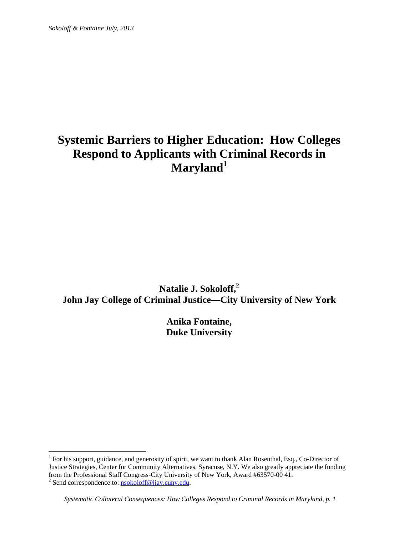# **Systemic Barriers to Higher Education: How Colleges Respond to Applicants with Criminal Records in Maryland1**

**Natalie J. Sokoloff,<sup>2</sup> John Jay College of Criminal Justice—City University of New York** 

> **Anika Fontaine, Duke University**

<sup>2</sup> Send correspondence to:  $\frac{nsokoloff@ijay.cuny.edu}{1}$ .

<sup>&</sup>lt;sup>1</sup> For his support, guidance, and generosity of spirit, we want to thank Alan Rosenthal, Esq., Co-Director of Justice Strategies, Center for Community Alternatives, Syracuse, N.Y. We also greatly appreciate the funding from the Professional Staff Congress-City University of New York, Award #63570-00 41.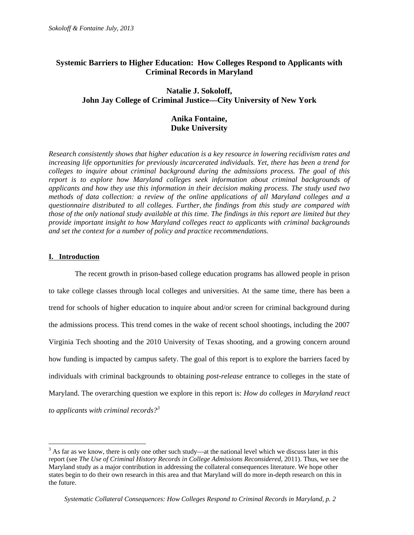# **Systemic Barriers to Higher Education: How Colleges Respond to Applicants with Criminal Records in Maryland**

# **Natalie J. Sokoloff, John Jay College of Criminal Justice—City University of New York**

# **Anika Fontaine, Duke University**

*Research consistently shows that higher education is a key resource in lowering recidivism rates and increasing life opportunities for previously incarcerated individuals. Yet, there has been a trend for colleges to inquire about criminal background during the admissions process. The goal of this report is to explore how Maryland colleges seek information about criminal backgrounds of applicants and how they use this information in their decision making process. The study used two methods of data collection: a review of the online applications of all Maryland colleges and a questionnaire distributed to all colleges. Further, the findings from this study are compared with those of the only national study available at this time. The findings in this report are limited but they provide important insight to how Maryland colleges react to applicants with criminal backgrounds and set the context for a number of policy and practice recommendations.*

### **I. Introduction**

 $\overline{a}$ 

 The recent growth in prison-based college education programs has allowed people in prison to take college classes through local colleges and universities. At the same time, there has been a trend for schools of higher education to inquire about and/or screen for criminal background during the admissions process. This trend comes in the wake of recent school shootings, including the 2007 Virginia Tech shooting and the 2010 University of Texas shooting, and a growing concern around how funding is impacted by campus safety. The goal of this report is to explore the barriers faced by individuals with criminal backgrounds to obtaining *post-release* entrance to colleges in the state of Maryland. The overarching question we explore in this report is: *How do colleges in Maryland react to applicants with criminal records?<sup>3</sup>* 

 $3$  As far as we know, there is only one other such study—at the national level which we discuss later in this report (see *The Use of Criminal History Records in College Admissions Reconsidered*, 2011). Thus, we see the Maryland study as a major contribution in addressing the collateral consequences literature. We hope other states begin to do their own research in this area and that Maryland will do more in-depth research on this in the future.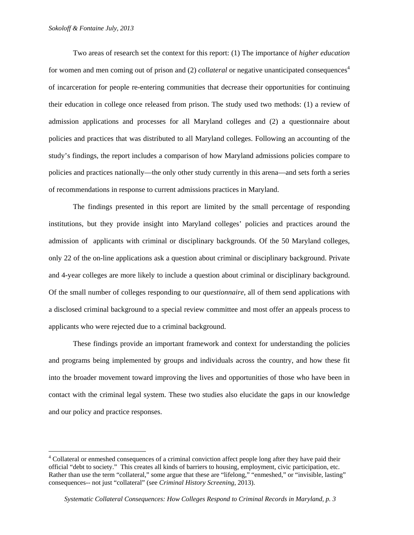$\overline{a}$ 

Two areas of research set the context for this report: (1) The importance of *higher education* for women and men coming out of prison and (2) *collateral* or negative unanticipated consequences<sup>4</sup> of incarceration for people re-entering communities that decrease their opportunities for continuing their education in college once released from prison. The study used two methods: (1) a review of admission applications and processes for all Maryland colleges and (2) a questionnaire about policies and practices that was distributed to all Maryland colleges. Following an accounting of the study's findings, the report includes a comparison of how Maryland admissions policies compare to policies and practices nationally—the only other study currently in this arena—and sets forth a series of recommendations in response to current admissions practices in Maryland.

The findings presented in this report are limited by the small percentage of responding institutions, but they provide insight into Maryland colleges' policies and practices around the admission of applicants with criminal or disciplinary backgrounds. Of the 50 Maryland colleges, only 22 of the on-line applications ask a question about criminal or disciplinary background. Private and 4-year colleges are more likely to include a question about criminal or disciplinary background. Of the small number of colleges responding to our *questionnaire*, all of them send applications with a disclosed criminal background to a special review committee and most offer an appeals process to applicants who were rejected due to a criminal background.

These findings provide an important framework and context for understanding the policies and programs being implemented by groups and individuals across the country, and how these fit into the broader movement toward improving the lives and opportunities of those who have been in contact with the criminal legal system. These two studies also elucidate the gaps in our knowledge and our policy and practice responses.

<sup>&</sup>lt;sup>4</sup> Collateral or enmeshed consequences of a criminal conviction affect people long after they have paid their official "debt to society." This creates all kinds of barriers to housing, employment, civic participation, etc. Rather than use the term "collateral," some argue that these are "lifelong," "enmeshed," or "invisible, lasting" consequences-- not just "collateral" (see *Criminal History Screening*, 2013).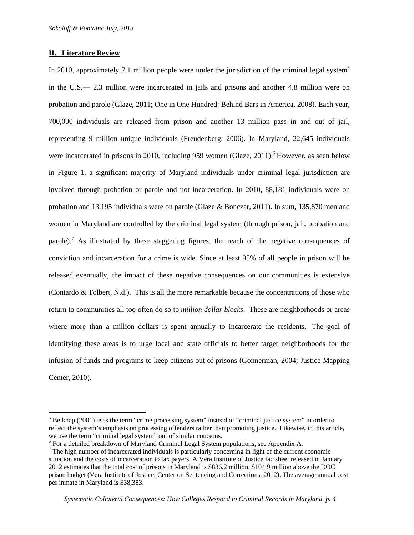#### **II. Literature Review**

 $\overline{a}$ 

In 2010, approximately 7.1 million people were under the jurisdiction of the criminal legal system<sup>5</sup> in the U.S.— 2.3 million were incarcerated in jails and prisons and another 4.8 million were on probation and parole (Glaze, 2011; One in One Hundred: Behind Bars in America, 2008). Each year, 700,000 individuals are released from prison and another 13 million pass in and out of jail, representing 9 million unique individuals (Freudenberg, 2006). In Maryland, 22,645 individuals were incarcerated in prisons in 2010, including 959 women (Glaze, 2011).<sup>6</sup> However, as seen below in Figure 1, a significant majority of Maryland individuals under criminal legal jurisdiction are involved through probation or parole and not incarceration. In 2010, 88,181 individuals were on probation and 13,195 individuals were on parole (Glaze & Bonczar, 2011). In sum, 135,870 men and women in Maryland are controlled by the criminal legal system (through prison, jail, probation and parole).<sup>7</sup> As illustrated by these staggering figures, the reach of the negative consequences of conviction and incarceration for a crime is wide. Since at least 95% of all people in prison will be released eventually, the impact of these negative consequences on our communities is extensive (Contardo & Tolbert, N.d.). This is all the more remarkable because the concentrations of those who return to communities all too often do so to *million dollar blocks*. These are neighborhoods or areas where more than a million dollars is spent annually to incarcerate the residents. The goal of identifying these areas is to urge local and state officials to better target neighborhoods for the infusion of funds and programs to keep citizens out of prisons (Gonnerman, 2004; Justice Mapping Center, 2010).

 $<sup>5</sup>$  Belknap (2001) uses the term "crime processing system" instead of "criminal justice system" in order to</sup> reflect the system's emphasis on processing offenders rather than promoting justice. Likewise, in this article, we use the term "criminal legal system" out of similar concerns.

For a detailed breakdown of Maryland Criminal Legal System populations, see Appendix A.

 $<sup>7</sup>$  The high number of incarcerated individuals is particularly concerning in light of the current economic</sup> situation and the costs of incarceration to tax payers. A Vera Institute of Justice factsheet released in January 2012 estimates that the total cost of prisons in Maryland is \$836.2 million, \$104.9 million above the DOC prison budget (Vera Institute of Justice, Center on Sentencing and Corrections, 2012). The average annual cost per inmate in Maryland is \$38,383.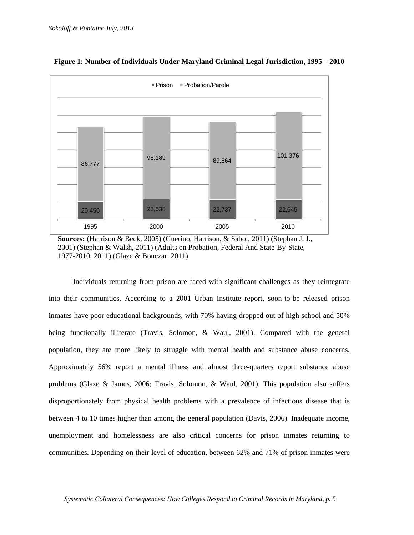

#### **Figure 1: Number of Individuals Under Maryland Criminal Legal Jurisdiction, 1995 – 2010**

**Sources:** (Harrison & Beck, 2005) (Guerino, Harrison, & Sabol, 2011) (Stephan J. J., 2001) (Stephan & Walsh, 2011) (Adults on Probation, Federal And State-By-State, 1977-2010, 2011) (Glaze & Bonczar, 2011)

Individuals returning from prison are faced with significant challenges as they reintegrate into their communities. According to a 2001 Urban Institute report, soon-to-be released prison inmates have poor educational backgrounds, with 70% having dropped out of high school and 50% being functionally illiterate (Travis, Solomon, & Waul, 2001). Compared with the general population, they are more likely to struggle with mental health and substance abuse concerns. Approximately 56% report a mental illness and almost three-quarters report substance abuse problems (Glaze & James, 2006; Travis, Solomon, & Waul, 2001). This population also suffers disproportionately from physical health problems with a prevalence of infectious disease that is between 4 to 10 times higher than among the general population (Davis, 2006). Inadequate income, unemployment and homelessness are also critical concerns for prison inmates returning to communities. Depending on their level of education, between 62% and 71% of prison inmates were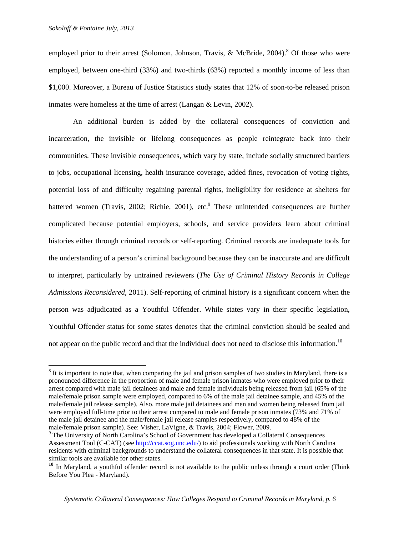$\overline{a}$ 

employed prior to their arrest (Solomon, Johnson, Travis, & McBride, 2004).<sup>8</sup> Of those who were employed, between one-third (33%) and two-thirds (63%) reported a monthly income of less than \$1,000. Moreover, a Bureau of Justice Statistics study states that 12% of soon-to-be released prison inmates were homeless at the time of arrest (Langan & Levin, 2002).

An additional burden is added by the collateral consequences of conviction and incarceration, the invisible or lifelong consequences as people reintegrate back into their communities. These invisible consequences, which vary by state, include socially structured barriers to jobs, occupational licensing, health insurance coverage, added fines, revocation of voting rights, potential loss of and difficulty regaining parental rights, ineligibility for residence at shelters for battered women (Travis, 2002; Richie, 2001), etc.<sup>9</sup> These unintended consequences are further complicated because potential employers, schools, and service providers learn about criminal histories either through criminal records or self-reporting. Criminal records are inadequate tools for the understanding of a person's criminal background because they can be inaccurate and are difficult to interpret, particularly by untrained reviewers (*The Use of Criminal History Records in College Admissions Reconsidered*, 2011). Self-reporting of criminal history is a significant concern when the person was adjudicated as a Youthful Offender. While states vary in their specific legislation, Youthful Offender status for some states denotes that the criminal conviction should be sealed and not appear on the public record and that the individual does not need to disclose this information.<sup>10</sup>

 $8$  It is important to note that, when comparing the jail and prison samples of two studies in Maryland, there is a pronounced difference in the proportion of male and female prison inmates who were employed prior to their arrest compared with male jail detainees and male and female individuals being released from jail (65% of the male/female prison sample were employed, compared to 6% of the male jail detainee sample, and 45% of the male/female jail release sample). Also, more male jail detainees and men and women being released from jail were employed full-time prior to their arrest compared to male and female prison inmates (73% and 71% of the male jail detainee and the male/female jail release samples respectively, compared to 48% of the male/female prison sample). See: Visher, LaVigne, & Travis, 2004; Flower, 2009.

<sup>&</sup>lt;sup>9</sup> The University of North Carolina's School of Government has developed a Collateral Consequences Assessment Tool (C-CAT) (see http://ccat.sog.unc.edu/) to aid professionals working with North Carolina residents with criminal backgrounds to understand the collateral consequences in that state. It is possible that similar tools are available for other states.

**<sup>10</sup>** In Maryland, a youthful offender record is not available to the public unless through a court order (Think Before You Plea - Maryland).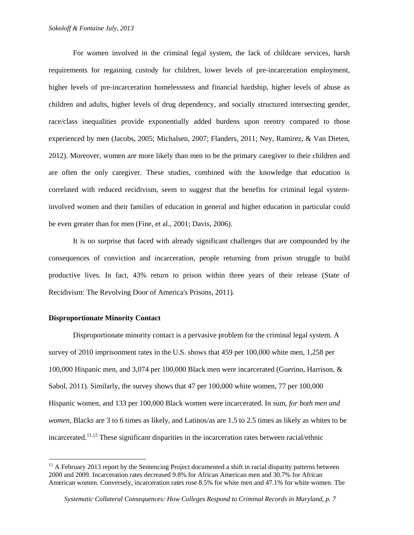For women involved in the criminal legal system, the lack of childcare services, harsh requirements for regaining custody for children, lower levels of pre-incarceration employment, higher levels of pre-incarceration homelessness and financial hardship, higher levels of abuse as children and adults, higher levels of drug dependency, and socially structured intersecting gender, race/class inequalities provide exponentially added burdens upon reentry compared to those experienced by men (Jacobs, 2005; Michalsen, 2007; Flanders, 2011; Ney, Ramirez, & Van Dieten, 2012). Moreover, women are more likely than men to be the primary caregiver to their children and are often the only caregiver. These studies, combined with the knowledge that education is correlated with reduced recidivism, seem to suggest that the benefits for criminal legal systeminvolved women and their families of education in general and higher education in particular could be even greater than for men (Fine, et al., 2001; Davis, 2006).

It is no surprise that faced with already significant challenges that are compounded by the consequences of conviction and incarceration, people returning from prison struggle to build productive lives. In fact, 43% return to prison within three years of their release (State of Recidivism: The Revolving Door of America's Prisons, 2011).

#### **Disproportionate Minority Contact**

 $\overline{a}$ 

Disproportionate minority contact is a pervasive problem for the criminal legal system. A survey of 2010 imprisonment rates in the U.S. shows that 459 per 100,000 white men, 1,258 per 100,000 Hispanic men, and 3,074 per 100,000 Black men were incarcerated (Guerino, Harrison, & Sabol, 2011). Similarly, the survey shows that 47 per 100,000 white women, 77 per 100,000 Hispanic women, and 133 per 100,000 Black women were incarcerated. In sum, *for both men and women*, Blacks are 3 to 6 times as likely, and Latinos/as are 1.5 to 2.5 times as likely as whites to be incarcerated.11,12 These significant disparities in the incarceration rates between racial/ethnic

 $11$  A February 2013 report by the Sentencing Project documented a shift in racial disparity patterns between 2000 and 2009. Incarceration rates decreased 9.8% for African American men and 30.7% for African American women. Conversely, incarceration rates rose 8.5% for white men and 47.1% for white women. The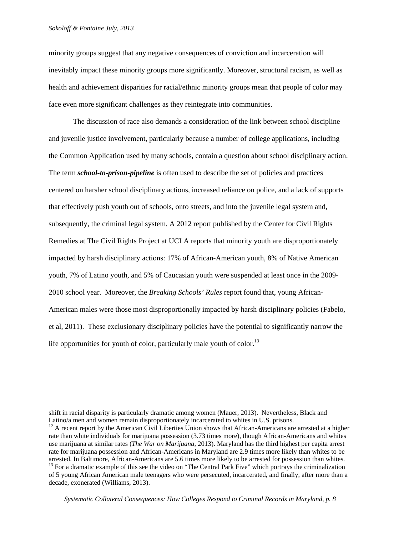minority groups suggest that any negative consequences of conviction and incarceration will inevitably impact these minority groups more significantly. Moreover, structural racism, as well as health and achievement disparities for racial/ethnic minority groups mean that people of color may face even more significant challenges as they reintegrate into communities.

The discussion of race also demands a consideration of the link between school discipline and juvenile justice involvement, particularly because a number of college applications, including the Common Application used by many schools, contain a question about school disciplinary action. The term *school-to-prison-pipeline* is often used to describe the set of policies and practices centered on harsher school disciplinary actions, increased reliance on police, and a lack of supports that effectively push youth out of schools, onto streets, and into the juvenile legal system and, subsequently, the criminal legal system. A 2012 report published by the Center for Civil Rights Remedies at The Civil Rights Project at UCLA reports that minority youth are disproportionately impacted by harsh disciplinary actions: 17% of African-American youth, 8% of Native American youth, 7% of Latino youth, and 5% of Caucasian youth were suspended at least once in the 2009- 2010 school year. Moreover, the *Breaking Schools' Rules* report found that, young African-American males were those most disproportionally impacted by harsh disciplinary policies (Fabelo, et al, 2011). These exclusionary disciplinary policies have the potential to significantly narrow the life opportunities for youth of color, particularly male youth of color.<sup>13</sup>

shift in racial disparity is particularly dramatic among women (Mauer, 2013). Nevertheless, Black and Latino/a men and women remain disproportionately incarcerated to whites in U.S. prisons.<br><sup>12</sup> A recent report by the American Civil Liberties Union shows that African-Americans are arrested at a higher

rate than white individuals for marijuana possession (3.73 times more), though African-Americans and whites use marijuana at similar rates (*The War on Marijuana*, 2013). Maryland has the third highest per capita arrest rate for marijuana possession and African-Americans in Maryland are 2.9 times more likely than whites to be arrested. In Baltimore, African-Americans are 5.6 times more likely to be arrested for possession than whites. 13 For a dramatic example of this see the video on "The Central Park Five" which portrays the criminalization

of 5 young African American male teenagers who were persecuted, incarcerated, and finally, after more than a decade, exonerated (Williams, 2013).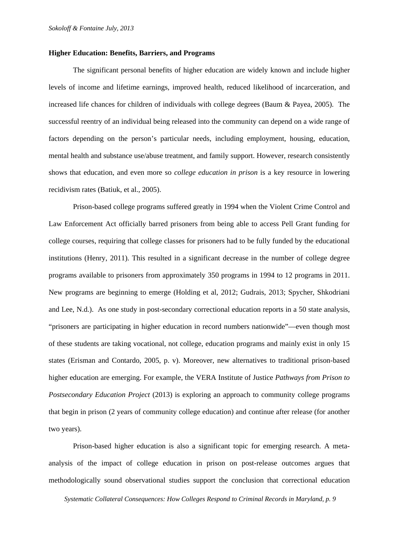#### **Higher Education: Benefits, Barriers, and Programs**

The significant personal benefits of higher education are widely known and include higher levels of income and lifetime earnings, improved health, reduced likelihood of incarceration, and increased life chances for children of individuals with college degrees (Baum & Payea, 2005). The successful reentry of an individual being released into the community can depend on a wide range of factors depending on the person's particular needs, including employment, housing, education, mental health and substance use/abuse treatment, and family support. However, research consistently shows that education, and even more so *college education in prison* is a key resource in lowering recidivism rates (Batiuk, et al., 2005).

Prison-based college programs suffered greatly in 1994 when the Violent Crime Control and Law Enforcement Act officially barred prisoners from being able to access Pell Grant funding for college courses, requiring that college classes for prisoners had to be fully funded by the educational institutions (Henry, 2011). This resulted in a significant decrease in the number of college degree programs available to prisoners from approximately 350 programs in 1994 to 12 programs in 2011. New programs are beginning to emerge (Holding et al, 2012; Gudrais, 2013; Spycher, Shkodriani and Lee, N.d.). As one study in post-secondary correctional education reports in a 50 state analysis, "prisoners are participating in higher education in record numbers nationwide"—even though most of these students are taking vocational, not college, education programs and mainly exist in only 15 states (Erisman and Contardo, 2005, p. v). Moreover, new alternatives to traditional prison-based higher education are emerging. For example, the VERA Institute of Justice *Pathways from Prison to Postsecondary Education Project* (2013) is exploring an approach to community college programs that begin in prison (2 years of community college education) and continue after release (for another two years).

Prison-based higher education is also a significant topic for emerging research. A metaanalysis of the impact of college education in prison on post-release outcomes argues that methodologically sound observational studies support the conclusion that correctional education

 *Systematic Collateral Consequences: How Colleges Respond to Criminal Records in Maryland, p. 9*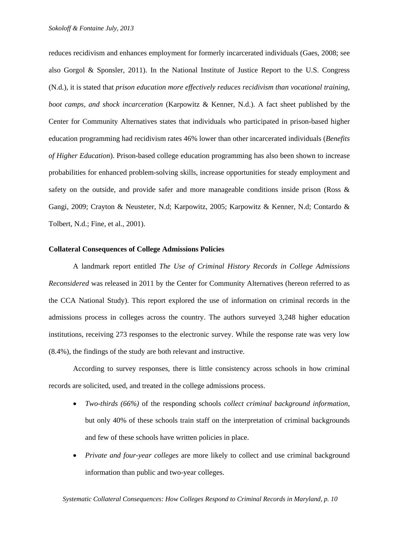reduces recidivism and enhances employment for formerly incarcerated individuals (Gaes, 2008; see also Gorgol & Sponsler, 2011). In the National Institute of Justice Report to the U.S. Congress (N.d.), it is stated that *prison education more effectively reduces recidivism than vocational training, boot camps, and shock incarceration* (Karpowitz & Kenner, N.d.). A fact sheet published by the Center for Community Alternatives states that individuals who participated in prison-based higher education programming had recidivism rates 46% lower than other incarcerated individuals (*Benefits of Higher Education*). Prison-based college education programming has also been shown to increase probabilities for enhanced problem-solving skills, increase opportunities for steady employment and safety on the outside, and provide safer and more manageable conditions inside prison (Ross & Gangi, 2009; Crayton & Neusteter, N.d; Karpowitz, 2005; Karpowitz & Kenner, N.d; Contardo & Tolbert, N.d.; Fine, et al., 2001).

### **Collateral Consequences of College Admissions Policies**

A landmark report entitled *The Use of Criminal History Records in College Admissions Reconsidered* was released in 2011 by the Center for Community Alternatives (hereon referred to as the CCA National Study). This report explored the use of information on criminal records in the admissions process in colleges across the country. The authors surveyed 3,248 higher education institutions, receiving 273 responses to the electronic survey. While the response rate was very low (8.4%), the findings of the study are both relevant and instructive.

According to survey responses, there is little consistency across schools in how criminal records are solicited, used, and treated in the college admissions process.

- *Two-thirds (66%)* of the responding schools *collect criminal background information,* but only 40% of these schools train staff on the interpretation of criminal backgrounds and few of these schools have written policies in place.
- *Private and four-year colleges* are more likely to collect and use criminal background information than public and two-year colleges.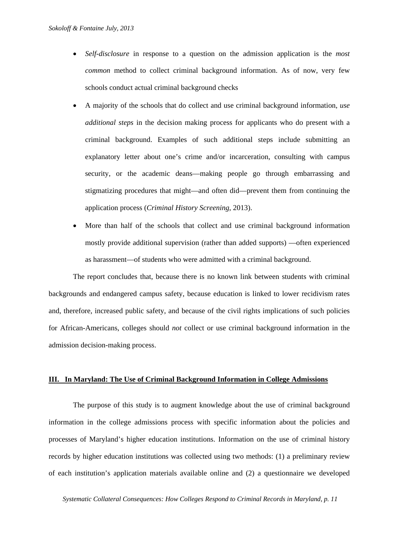- *Self-disclosure* in response to a question on the admission application is the *most common* method to collect criminal background information. As of now, very few schools conduct actual criminal background checks
- A majority of the schools that do collect and use criminal background information, *use additional steps* in the decision making process for applicants who do present with a criminal background. Examples of such additional steps include submitting an explanatory letter about one's crime and/or incarceration, consulting with campus security, or the academic deans—making people go through embarrassing and stigmatizing procedures that might—and often did—prevent them from continuing the application process (*Criminal History Screening*, 2013).
- More than half of the schools that collect and use criminal background information mostly provide additional supervision (rather than added supports) —often experienced as harassment—of students who were admitted with a criminal background.

The report concludes that, because there is no known link between students with criminal backgrounds and endangered campus safety, because education is linked to lower recidivism rates and, therefore, increased public safety, and because of the civil rights implications of such policies for African-Americans, colleges should *not* collect or use criminal background information in the admission decision-making process.

#### **III. In Maryland: The Use of Criminal Background Information in College Admissions**

The purpose of this study is to augment knowledge about the use of criminal background information in the college admissions process with specific information about the policies and processes of Maryland's higher education institutions. Information on the use of criminal history records by higher education institutions was collected using two methods: (1) a preliminary review of each institution's application materials available online and (2) a questionnaire we developed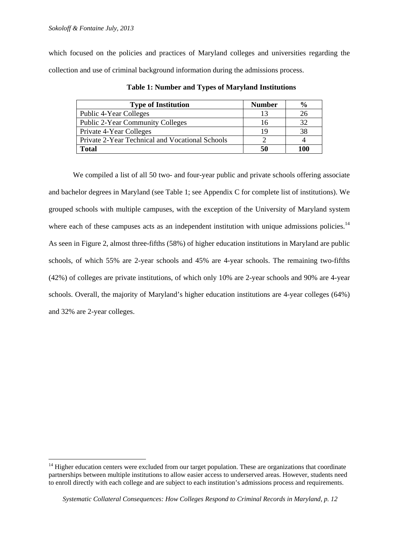$\overline{a}$ 

which focused on the policies and practices of Maryland colleges and universities regarding the collection and use of criminal background information during the admissions process.

| <b>Type of Institution</b>                      | <b>Number</b> | $\frac{0}{0}$ |
|-------------------------------------------------|---------------|---------------|
| Public 4-Year Colleges                          |               | 26            |
| <b>Public 2-Year Community Colleges</b>         | 16            | 32            |
| Private 4-Year Colleges                         | 19            | 38            |
| Private 2-Year Technical and Vocational Schools |               |               |
| Total                                           | 50            | 100           |

**Table 1: Number and Types of Maryland Institutions** 

We compiled a list of all 50 two- and four-year public and private schools offering associate and bachelor degrees in Maryland (see Table 1; see Appendix C for complete list of institutions). We grouped schools with multiple campuses, with the exception of the University of Maryland system where each of these campuses acts as an independent institution with unique admissions policies.<sup>14</sup> As seen in Figure 2, almost three-fifths (58%) of higher education institutions in Maryland are public schools, of which 55% are 2-year schools and 45% are 4-year schools. The remaining two-fifths (42%) of colleges are private institutions, of which only 10% are 2-year schools and 90% are 4-year schools. Overall, the majority of Maryland's higher education institutions are 4-year colleges (64%) and 32% are 2-year colleges.

<sup>&</sup>lt;sup>14</sup> Higher education centers were excluded from our target population. These are organizations that coordinate partnerships between multiple institutions to allow easier access to underserved areas. However, students need to enroll directly with each college and are subject to each institution's admissions process and requirements.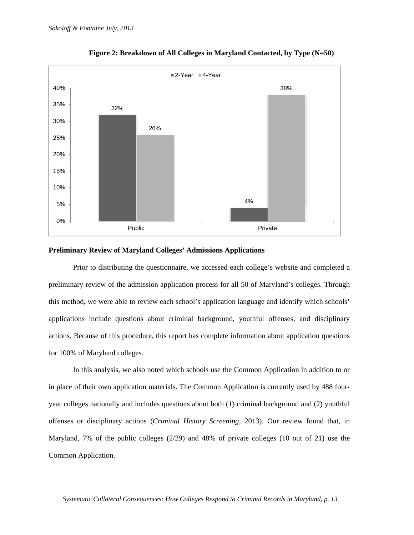

**Figure 2: Breakdown of All Colleges in Maryland Contacted, by Type (N=50)** 

#### **Preliminary Review of Maryland Colleges' Admissions Applications**

Prior to distributing the questionnaire, we accessed each college's website and completed a preliminary review of the admission application process for all 50 of Maryland's colleges. Through this method, we were able to review each school's application language and identify which schools' applications include questions about criminal background, youthful offenses, and disciplinary actions. Because of this procedure, this report has complete information about application questions for 100% of Maryland colleges.

In this analysis, we also noted which schools use the Common Application in addition to or in place of their own application materials. The Common Application is currently used by 488 fouryear colleges nationally and includes questions about both (1) criminal background and (2) youthful offenses or disciplinary actions (*Criminal History Screening*, 2013). Our review found that, in Maryland, 7% of the public colleges (2/29) and 48% of private colleges (10 out of 21) use the Common Application.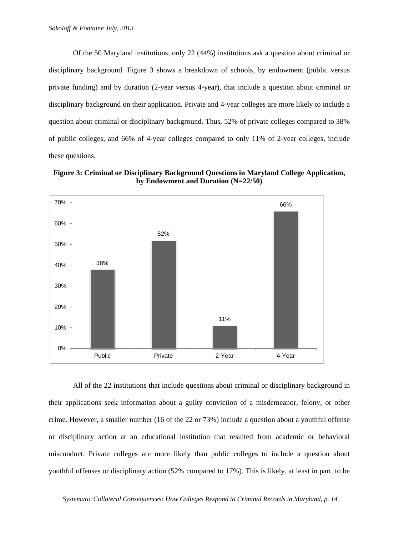Of the 50 Maryland institutions, only 22 (44%) institutions ask a question about criminal or disciplinary background. Figure 3 shows a breakdown of schools, by endowment (public versus private funding) and by duration (2-year versus 4-year), that include a question about criminal or disciplinary background on their application. Private and 4-year colleges are more likely to include a question about criminal or disciplinary background. Thus, 52% of private colleges compared to 38% of public colleges, and 66% of 4-year colleges compared to only 11% of 2-year colleges, include these questions.

**Figure 3: Criminal or Disciplinary Background Questions in Maryland College Application, by Endowment and Duration (N=22/50)** 



All of the 22 institutions that include questions about criminal or disciplinary background in their applications seek information about a guilty conviction of a misdemeanor, felony, or other crime. However, a smaller number (16 of the 22 or 73%) include a question about a youthful offense or disciplinary action at an educational institution that resulted from academic or behavioral misconduct. Private colleges are more likely than public colleges to include a question about youthful offenses or disciplinary action (52% compared to 17%). This is likely, at least in part, to be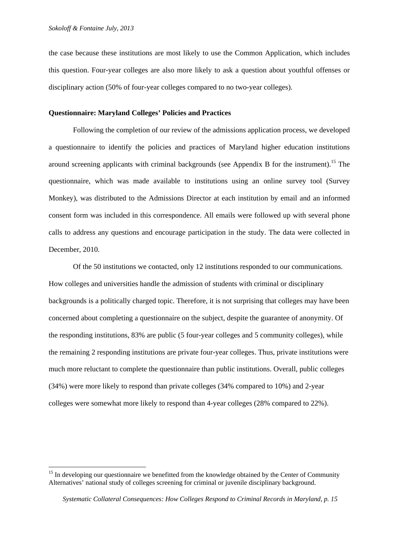$\overline{a}$ 

the case because these institutions are most likely to use the Common Application, which includes this question. Four-year colleges are also more likely to ask a question about youthful offenses or disciplinary action (50% of four-year colleges compared to no two-year colleges).

### **Questionnaire: Maryland Colleges' Policies and Practices**

Following the completion of our review of the admissions application process, we developed a questionnaire to identify the policies and practices of Maryland higher education institutions around screening applicants with criminal backgrounds (see Appendix B for the instrument).<sup>15</sup> The questionnaire, which was made available to institutions using an online survey tool (Survey Monkey), was distributed to the Admissions Director at each institution by email and an informed consent form was included in this correspondence. All emails were followed up with several phone calls to address any questions and encourage participation in the study. The data were collected in December, 2010.

 Of the 50 institutions we contacted, only 12 institutions responded to our communications. How colleges and universities handle the admission of students with criminal or disciplinary backgrounds is a politically charged topic. Therefore, it is not surprising that colleges may have been concerned about completing a questionnaire on the subject, despite the guarantee of anonymity. Of the responding institutions, 83% are public (5 four-year colleges and 5 community colleges), while the remaining 2 responding institutions are private four-year colleges. Thus, private institutions were much more reluctant to complete the questionnaire than public institutions. Overall, public colleges (34%) were more likely to respond than private colleges (34% compared to 10%) and 2-year colleges were somewhat more likely to respond than 4-year colleges (28% compared to 22%).

<sup>&</sup>lt;sup>15</sup> In developing our questionnaire we benefitted from the knowledge obtained by the Center of Community Alternatives' national study of colleges screening for criminal or juvenile disciplinary background.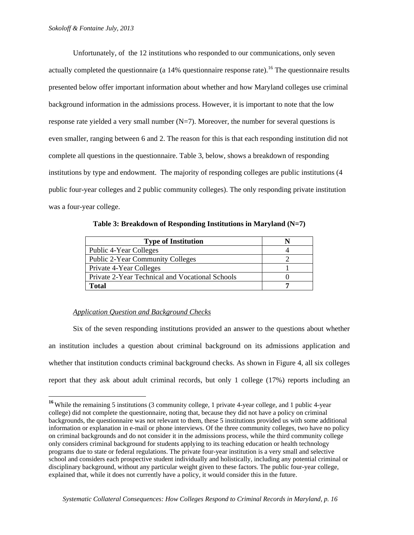Unfortunately, of the 12 institutions who responded to our communications, only seven actually completed the questionnaire (a  $14\%$  questionnaire response rate).<sup>16</sup> The questionnaire results presented below offer important information about whether and how Maryland colleges use criminal background information in the admissions process. However, it is important to note that the low response rate yielded a very small number  $(N=7)$ . Moreover, the number for several questions is even smaller, ranging between 6 and 2. The reason for this is that each responding institution did not complete all questions in the questionnaire. Table 3, below, shows a breakdown of responding institutions by type and endowment. The majority of responding colleges are public institutions (4 public four-year colleges and 2 public community colleges). The only responding private institution was a four-year college.

**Table 3: Breakdown of Responding Institutions in Maryland (N=7)** 

| <b>Type of Institution</b>                      |  |
|-------------------------------------------------|--|
| Public 4-Year Colleges                          |  |
| <b>Public 2-Year Community Colleges</b>         |  |
| Private 4-Year Colleges                         |  |
| Private 2-Year Technical and Vocational Schools |  |
| Total                                           |  |

# *Application Question and Background Checks*

 $\overline{a}$ 

Six of the seven responding institutions provided an answer to the questions about whether an institution includes a question about criminal background on its admissions application and whether that institution conducts criminal background checks. As shown in Figure 4, all six colleges report that they ask about adult criminal records, but only 1 college (17%) reports including an

<sup>&</sup>lt;sup>16</sup> While the remaining 5 institutions (3 community college, 1 private 4-year college, and 1 public 4-year college) did not complete the questionnaire, noting that, because they did not have a policy on criminal backgrounds, the questionnaire was not relevant to them, these 5 institutions provided us with some additional information or explanation in e-mail or phone interviews. Of the three community colleges, two have no policy on criminal backgrounds and do not consider it in the admissions process, while the third community college only considers criminal background for students applying to its teaching education or health technology programs due to state or federal regulations. The private four-year institution is a very small and selective school and considers each prospective student individually and holistically, including any potential criminal or disciplinary background, without any particular weight given to these factors. The public four-year college, explained that, while it does not currently have a policy, it would consider this in the future.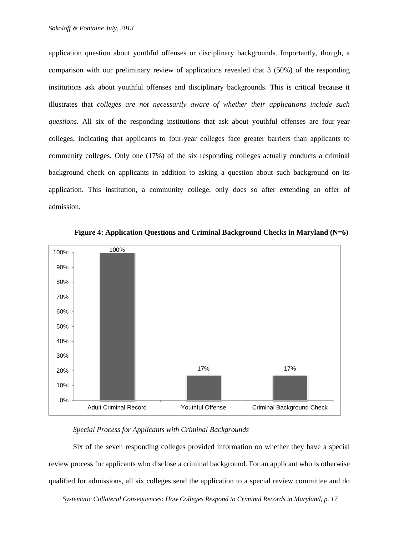application question about youthful offenses or disciplinary backgrounds. Importantly, though, a comparison with our preliminary review of applications revealed that 3 (50%) of the responding institutions ask about youthful offenses and disciplinary backgrounds. This is critical because it illustrates that *colleges are not necessarily aware of whether their applications include such questions*. All six of the responding institutions that ask about youthful offenses are four-year colleges, indicating that applicants to four-year colleges face greater barriers than applicants to community colleges. Only one (17%) of the six responding colleges actually conducts a criminal background check on applicants in addition to asking a question about such background on its application. This institution, a community college, only does so after extending an offer of admission.



**Figure 4: Application Questions and Criminal Background Checks in Maryland (N=6)** 

# *Special Process for Applicants with Criminal Backgrounds*

Six of the seven responding colleges provided information on whether they have a special review process for applicants who disclose a criminal background. For an applicant who is otherwise qualified for admissions, all six colleges send the application to a special review committee and do

 *Systematic Collateral Consequences: How Colleges Respond to Criminal Records in Maryland, p. 17*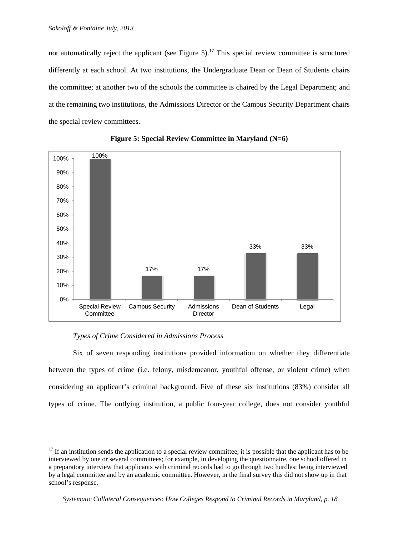not automatically reject the applicant (see Figure 5).<sup>17</sup> This special review committee is structured differently at each school. At two institutions, the Undergraduate Dean or Dean of Students chairs the committee; at another two of the schools the committee is chaired by the Legal Department; and at the remaining two institutions, the Admissions Director or the Campus Security Department chairs the special review committees.





# *Types of Crime Considered in Admissions Process*

 $\overline{a}$ 

Six of seven responding institutions provided information on whether they differentiate between the types of crime (i.e. felony, misdemeanor, youthful offense, or violent crime) when considering an applicant's criminal background. Five of these six institutions (83%) consider all types of crime. The outlying institution, a public four-year college, does not consider youthful

 $17$  If an institution sends the application to a special review committee, it is possible that the applicant has to be interviewed by one or several committees; for example, in developing the questionnaire, one school offered in a preparatory interview that applicants with criminal records had to go through two hurdles: being interviewed by a legal committee and by an academic committee. However, in the final survey this did not show up in that school's response.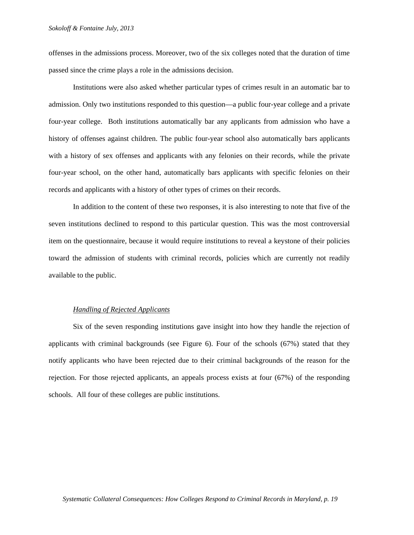offenses in the admissions process. Moreover, two of the six colleges noted that the duration of time passed since the crime plays a role in the admissions decision.

Institutions were also asked whether particular types of crimes result in an automatic bar to admission. Only two institutions responded to this question––a public four-year college and a private four-year college. Both institutions automatically bar any applicants from admission who have a history of offenses against children. The public four-year school also automatically bars applicants with a history of sex offenses and applicants with any felonies on their records, while the private four-year school, on the other hand, automatically bars applicants with specific felonies on their records and applicants with a history of other types of crimes on their records.

In addition to the content of these two responses, it is also interesting to note that five of the seven institutions declined to respond to this particular question. This was the most controversial item on the questionnaire, because it would require institutions to reveal a keystone of their policies toward the admission of students with criminal records, policies which are currently not readily available to the public.

#### *Handling of Rejected Applicants*

Six of the seven responding institutions gave insight into how they handle the rejection of applicants with criminal backgrounds (see Figure 6). Four of the schools (67%) stated that they notify applicants who have been rejected due to their criminal backgrounds of the reason for the rejection. For those rejected applicants, an appeals process exists at four (67%) of the responding schools. All four of these colleges are public institutions.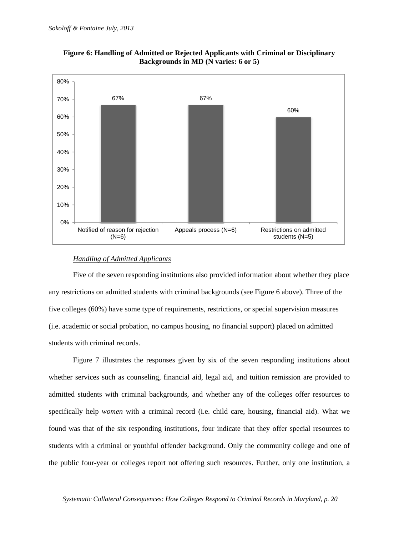

**Figure 6: Handling of Admitted or Rejected Applicants with Criminal or Disciplinary Backgrounds in MD (N varies: 6 or 5)** 

#### *Handling of Admitted Applicants*

Five of the seven responding institutions also provided information about whether they place any restrictions on admitted students with criminal backgrounds (see Figure 6 above). Three of the five colleges (60%) have some type of requirements, restrictions, or special supervision measures (i.e. academic or social probation, no campus housing, no financial support) placed on admitted students with criminal records.

Figure 7 illustrates the responses given by six of the seven responding institutions about whether services such as counseling, financial aid, legal aid, and tuition remission are provided to admitted students with criminal backgrounds, and whether any of the colleges offer resources to specifically help *women* with a criminal record (i.e. child care, housing, financial aid). What we found was that of the six responding institutions, four indicate that they offer special resources to students with a criminal or youthful offender background. Only the community college and one of the public four-year or colleges report not offering such resources. Further, only one institution, a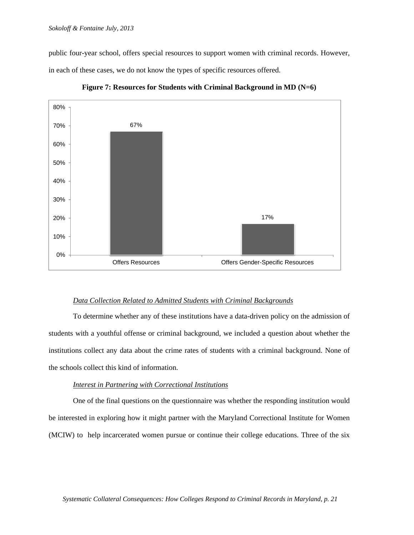public four-year school, offers special resources to support women with criminal records. However, in each of these cases, we do not know the types of specific resources offered.



**Figure 7: Resources for Students with Criminal Background in MD (N=6)**

### *Data Collection Related to Admitted Students with Criminal Backgrounds*

 To determine whether any of these institutions have a data-driven policy on the admission of students with a youthful offense or criminal background, we included a question about whether the institutions collect any data about the crime rates of students with a criminal background. None of the schools collect this kind of information.

### *Interest in Partnering with Correctional Institutions*

One of the final questions on the questionnaire was whether the responding institution would be interested in exploring how it might partner with the Maryland Correctional Institute for Women (MCIW) to help incarcerated women pursue or continue their college educations. Three of the six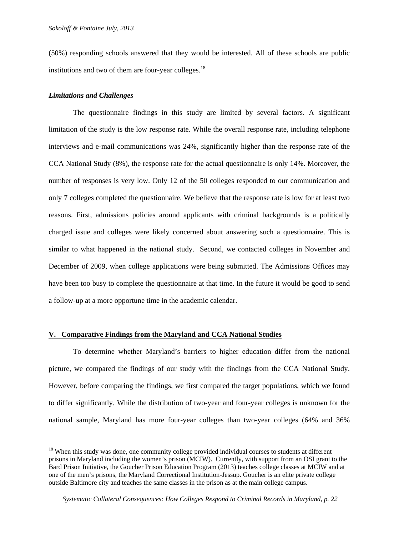(50%) responding schools answered that they would be interested. All of these schools are public institutions and two of them are four-year colleges.<sup>18</sup>

#### *Limitations and Challenges*

 $\overline{a}$ 

The questionnaire findings in this study are limited by several factors. A significant limitation of the study is the low response rate. While the overall response rate, including telephone interviews and e-mail communications was 24%, significantly higher than the response rate of the CCA National Study (8%), the response rate for the actual questionnaire is only 14%. Moreover, the number of responses is very low. Only 12 of the 50 colleges responded to our communication and only 7 colleges completed the questionnaire. We believe that the response rate is low for at least two reasons. First, admissions policies around applicants with criminal backgrounds is a politically charged issue and colleges were likely concerned about answering such a questionnaire. This is similar to what happened in the national study. Second, we contacted colleges in November and December of 2009, when college applications were being submitted. The Admissions Offices may have been too busy to complete the questionnaire at that time. In the future it would be good to send a follow-up at a more opportune time in the academic calendar.

### **V. Comparative Findings from the Maryland and CCA National Studies**

To determine whether Maryland's barriers to higher education differ from the national picture, we compared the findings of our study with the findings from the CCA National Study. However, before comparing the findings, we first compared the target populations, which we found to differ significantly. While the distribution of two-year and four-year colleges is unknown for the national sample, Maryland has more four-year colleges than two-year colleges (64% and 36%

<sup>&</sup>lt;sup>18</sup> When this study was done, one community college provided individual courses to students at different prisons in Maryland including the women's prison (MCIW). Currently, with support from an OSI grant to the Bard Prison Initiative, the Goucher Prison Education Program (2013) teaches college classes at MCIW and at one of the men's prisons, the Maryland Correctional Institution-Jessup. Goucher is an elite private college outside Baltimore city and teaches the same classes in the prison as at the main college campus.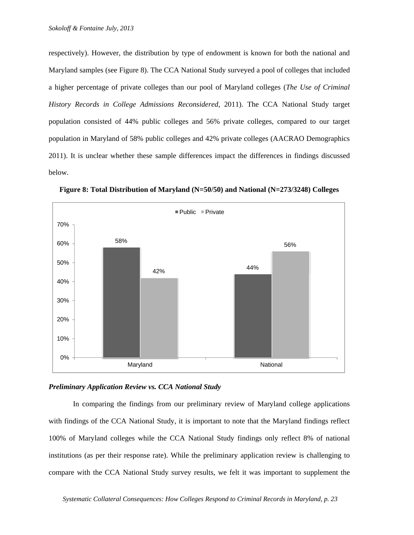respectively). However, the distribution by type of endowment is known for both the national and Maryland samples (see Figure 8). The CCA National Study surveyed a pool of colleges that included a higher percentage of private colleges than our pool of Maryland colleges (*The Use of Criminal History Records in College Admissions Reconsidered,* 2011). The CCA National Study target population consisted of 44% public colleges and 56% private colleges, compared to our target population in Maryland of 58% public colleges and 42% private colleges (AACRAO Demographics 2011). It is unclear whether these sample differences impact the differences in findings discussed below.



**Figure 8: Total Distribution of Maryland (N=50/50) and National (N=273/3248) Colleges** 



In comparing the findings from our preliminary review of Maryland college applications with findings of the CCA National Study, it is important to note that the Maryland findings reflect 100% of Maryland colleges while the CCA National Study findings only reflect 8% of national institutions (as per their response rate). While the preliminary application review is challenging to compare with the CCA National Study survey results, we felt it was important to supplement the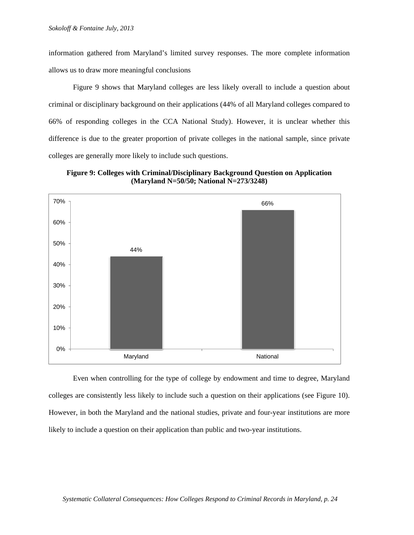information gathered from Maryland's limited survey responses. The more complete information allows us to draw more meaningful conclusions

Figure 9 shows that Maryland colleges are less likely overall to include a question about criminal or disciplinary background on their applications (44% of all Maryland colleges compared to 66% of responding colleges in the CCA National Study). However, it is unclear whether this difference is due to the greater proportion of private colleges in the national sample, since private colleges are generally more likely to include such questions.





Even when controlling for the type of college by endowment and time to degree, Maryland colleges are consistently less likely to include such a question on their applications (see Figure 10). However, in both the Maryland and the national studies, private and four-year institutions are more likely to include a question on their application than public and two-year institutions.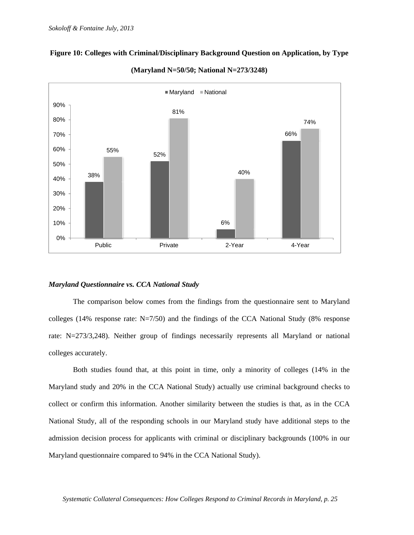

# **Figure 10: Colleges with Criminal/Disciplinary Background Question on Application, by Type**



#### *Maryland Questionnaire vs. CCA National Study*

The comparison below comes from the findings from the questionnaire sent to Maryland colleges (14% response rate:  $N=7/50$ ) and the findings of the CCA National Study (8% response rate: N=273/3,248). Neither group of findings necessarily represents all Maryland or national colleges accurately.

Both studies found that, at this point in time, only a minority of colleges (14% in the Maryland study and 20% in the CCA National Study) actually use criminal background checks to collect or confirm this information. Another similarity between the studies is that, as in the CCA National Study, all of the responding schools in our Maryland study have additional steps to the admission decision process for applicants with criminal or disciplinary backgrounds (100% in our Maryland questionnaire compared to 94% in the CCA National Study).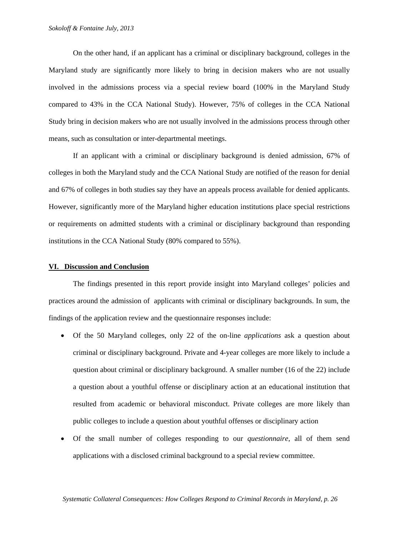On the other hand, if an applicant has a criminal or disciplinary background, colleges in the Maryland study are significantly more likely to bring in decision makers who are not usually involved in the admissions process via a special review board (100% in the Maryland Study compared to 43% in the CCA National Study). However, 75% of colleges in the CCA National Study bring in decision makers who are not usually involved in the admissions process through other means, such as consultation or inter-departmental meetings.

If an applicant with a criminal or disciplinary background is denied admission, 67% of colleges in both the Maryland study and the CCA National Study are notified of the reason for denial and 67% of colleges in both studies say they have an appeals process available for denied applicants. However, significantly more of the Maryland higher education institutions place special restrictions or requirements on admitted students with a criminal or disciplinary background than responding institutions in the CCA National Study (80% compared to 55%).

#### **VI. Discussion and Conclusion**

The findings presented in this report provide insight into Maryland colleges' policies and practices around the admission of applicants with criminal or disciplinary backgrounds. In sum, the findings of the application review and the questionnaire responses include:

- Of the 50 Maryland colleges, only 22 of the on-line *applications* ask a question about criminal or disciplinary background. Private and 4-year colleges are more likely to include a question about criminal or disciplinary background. A smaller number (16 of the 22) include a question about a youthful offense or disciplinary action at an educational institution that resulted from academic or behavioral misconduct. Private colleges are more likely than public colleges to include a question about youthful offenses or disciplinary action
- Of the small number of colleges responding to our *questionnaire*, all of them send applications with a disclosed criminal background to a special review committee.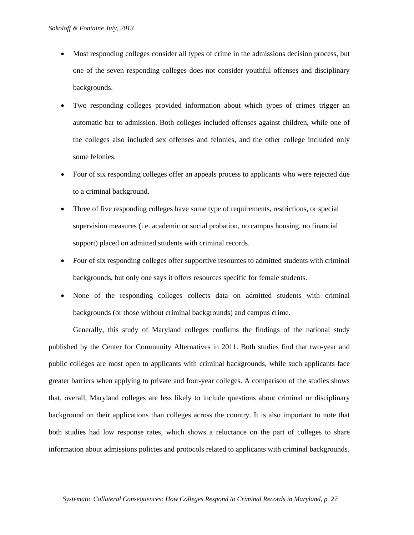- Most responding colleges consider all types of crime in the admissions decision process, but one of the seven responding colleges does not consider youthful offenses and disciplinary backgrounds.
- Two responding colleges provided information about which types of crimes trigger an automatic bar to admission. Both colleges included offenses against children, while one of the colleges also included sex offenses and felonies, and the other college included only some felonies.
- Four of six responding colleges offer an appeals process to applicants who were rejected due to a criminal background.
- Three of five responding colleges have some type of requirements, restrictions, or special supervision measures (i.e. academic or social probation, no campus housing, no financial support) placed on admitted students with criminal records.
- Four of six responding colleges offer supportive resources to admitted students with criminal backgrounds, but only one says it offers resources specific for female students.
- None of the responding colleges collects data on admitted students with criminal backgrounds (or those without criminal backgrounds) and campus crime.

Generally, this study of Maryland colleges confirms the findings of the national study published by the Center for Community Alternatives in 2011. Both studies find that two-year and public colleges are most open to applicants with criminal backgrounds, while such applicants face greater barriers when applying to private and four-year colleges. A comparison of the studies shows that, overall, Maryland colleges are less likely to include questions about criminal or disciplinary background on their applications than colleges across the country. It is also important to note that both studies had low response rates, which shows a reluctance on the part of colleges to share information about admissions policies and protocols related to applicants with criminal backgrounds.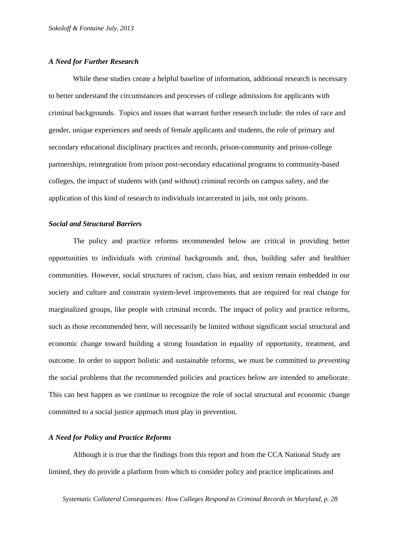#### *A Need for Further Research*

While these studies create a helpful baseline of information, additional research is necessary to better understand the circumstances and processes of college admissions for applicants with criminal backgrounds. Topics and issues that warrant further research include: the roles of race and gender, unique experiences and needs of female applicants and students, the role of primary and secondary educational disciplinary practices and records, prison-community and prison-college partnerships, reintegration from prison post-secondary educational programs to community-based colleges, the impact of students with (and without) criminal records on campus safety, and the application of this kind of research to individuals incarcerated in jails, not only prisons.

### *Social and Structural Barriers*

The policy and practice reforms recommended below are critical in providing better opportunities to individuals with criminal backgrounds and, thus, building safer and healthier communities. However, social structures of racism, class bias, and sexism remain embedded in our society and culture and constrain system-level improvements that are required for real change for marginalized groups, like people with criminal records. The impact of policy and practice reforms, such as those recommended here, will necessarily be limited without significant social structural and economic change toward building a strong foundation in equality of opportunity, treatment, and outcome. In order to support holistic and sustainable reforms, we must be committed to *preventing* the social problems that the recommended policies and practices below are intended to ameliorate. This can best happen as we continue to recognize the role of social structural and economic change committed to a social justice approach must play in prevention.

#### *A Need for Policy and Practice Reforms*

Although it is true that the findings from this report and from the CCA National Study are limited, they do provide a platform from which to consider policy and practice implications and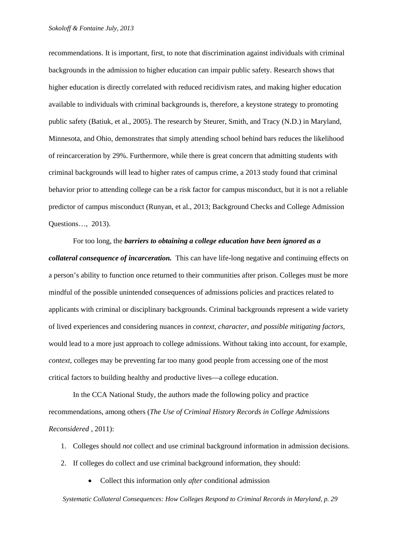recommendations. It is important, first, to note that discrimination against individuals with criminal backgrounds in the admission to higher education can impair public safety. Research shows that higher education is directly correlated with reduced recidivism rates, and making higher education available to individuals with criminal backgrounds is, therefore, a keystone strategy to promoting public safety (Batiuk, et al., 2005). The research by Steurer, Smith, and Tracy (N.D.) in Maryland, Minnesota, and Ohio, demonstrates that simply attending school behind bars reduces the likelihood of reincarceration by 29%. Furthermore, while there is great concern that admitting students with criminal backgrounds will lead to higher rates of campus crime, a 2013 study found that criminal behavior prior to attending college can be a risk factor for campus misconduct, but it is not a reliable predictor of campus misconduct (Runyan, et al., 2013; Background Checks and College Admission Questions…, 2013).

For too long, the *barriers to obtaining a college education have been ignored as a collateral consequence of incarceration.* This can have life-long negative and continuing effects on a person's ability to function once returned to their communities after prison. Colleges must be more mindful of the possible unintended consequences of admissions policies and practices related to applicants with criminal or disciplinary backgrounds. Criminal backgrounds represent a wide variety of lived experiences and considering nuances in *context, character, and possible mitigating factors*, would lead to a more just approach to college admissions. Without taking into account, for example, *context*, colleges may be preventing far too many good people from accessing one of the most critical factors to building healthy and productive lives––a college education.

In the CCA National Study, the authors made the following policy and practice recommendations, among others (*The Use of Criminal History Records in College Admissions Reconsidered* , 2011):

- 1. Colleges should *not* collect and use criminal background information in admission decisions.
- 2. If colleges do collect and use criminal background information, they should:
	- Collect this information only *after* conditional admission

 *Systematic Collateral Consequences: How Colleges Respond to Criminal Records in Maryland, p. 29*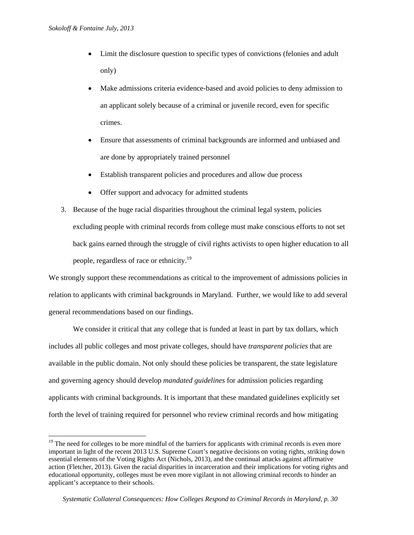$\overline{a}$ 

- Limit the disclosure question to specific types of convictions (felonies and adult only)
- Make admissions criteria evidence-based and avoid policies to deny admission to an applicant solely because of a criminal or juvenile record, even for specific crimes.
- Ensure that assessments of criminal backgrounds are informed and unbiased and are done by appropriately trained personnel
- Establish transparent policies and procedures and allow due process
- Offer support and advocacy for admitted students
- 3. Because of the huge racial disparities throughout the criminal legal system, policies excluding people with criminal records from college must make conscious efforts to not set back gains earned through the struggle of civil rights activists to open higher education to all people, regardless of race or ethnicity.19

We strongly support these recommendations as critical to the improvement of admissions policies in relation to applicants with criminal backgrounds in Maryland. Further, we would like to add several general recommendations based on our findings.

We consider it critical that any college that is funded at least in part by tax dollars, which includes all public colleges and most private colleges, should have *transparent policies* that are available in the public domain. Not only should these policies be transparent, the state legislature and governing agency should develop *mandated guidelines* for admission policies regarding applicants with criminal backgrounds. It is important that these mandated guidelines explicitly set forth the level of training required for personnel who review criminal records and how mitigating

<sup>&</sup>lt;sup>19</sup> The need for colleges to be more mindful of the barriers for applicants with criminal records is even more important in light of the recent 2013 U.S. Supreme Court's negative decisions on voting rights, striking down essential elements of the Voting Rights Act (Nichols, 2013), and the continual attacks against affirmative action (Fletcher, 2013). Given the racial disparities in incarceration and their implications for voting rights and educational opportunity, colleges must be even more vigilant in not allowing criminal records to hinder an applicant's acceptance to their schools.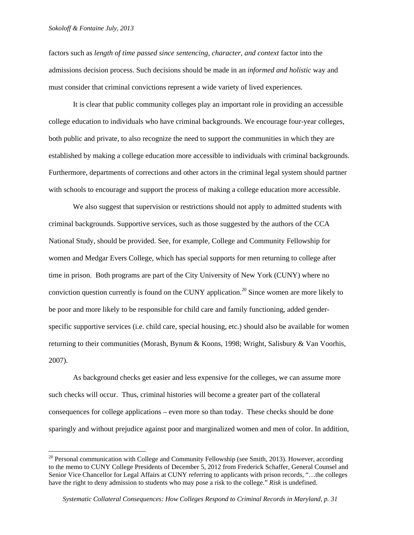$\overline{a}$ 

factors such as *length of time passed since sentencing, character, and context* factor into the admissions decision process. Such decisions should be made in an *informed and holistic* way and must consider that criminal convictions represent a wide variety of lived experiences.

It is clear that public community colleges play an important role in providing an accessible college education to individuals who have criminal backgrounds. We encourage four-year colleges, both public and private, to also recognize the need to support the communities in which they are established by making a college education more accessible to individuals with criminal backgrounds. Furthermore, departments of corrections and other actors in the criminal legal system should partner with schools to encourage and support the process of making a college education more accessible.

We also suggest that supervision or restrictions should not apply to admitted students with criminal backgrounds. Supportive services, such as those suggested by the authors of the CCA National Study, should be provided. See, for example, College and Community Fellowship for women and Medgar Evers College, which has special supports for men returning to college after time in prison. Both programs are part of the City University of New York (CUNY) where no conviction question currently is found on the CUNY application.<sup>20</sup> Since women are more likely to be poor and more likely to be responsible for child care and family functioning, added genderspecific supportive services (i.e. child care, special housing, etc.) should also be available for women returning to their communities (Morash, Bynum & Koons, 1998; Wright, Salisbury & Van Voorhis, 2007).

As background checks get easier and less expensive for the colleges, we can assume more such checks will occur. Thus, criminal histories will become a greater part of the collateral consequences for college applications – even more so than today. These checks should be done sparingly and without prejudice against poor and marginalized women and men of color. In addition,

<sup>&</sup>lt;sup>20</sup> Personal communication with College and Community Fellowship (see Smith, 2013). However, according to the memo to CUNY College Presidents of December 5, 2012 from Frederick Schaffer, General Counsel and Senior Vice Chancellor for Legal Affairs at CUNY referring to applicants with prison records, "…the colleges have the right to deny admission to students who may pose a risk to the college." *Risk* is undefined.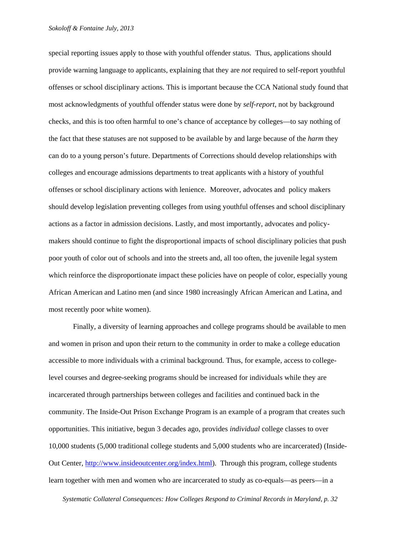special reporting issues apply to those with youthful offender status. Thus, applications should provide warning language to applicants, explaining that they are *not* required to self-report youthful offenses or school disciplinary actions. This is important because the CCA National study found that most acknowledgments of youthful offender status were done by *self-report*, not by background checks, and this is too often harmful to one's chance of acceptance by colleges—to say nothing of the fact that these statuses are not supposed to be available by and large because of the *harm* they can do to a young person's future. Departments of Corrections should develop relationships with colleges and encourage admissions departments to treat applicants with a history of youthful offenses or school disciplinary actions with lenience. Moreover, advocates and policy makers should develop legislation preventing colleges from using youthful offenses and school disciplinary actions as a factor in admission decisions. Lastly, and most importantly, advocates and policymakers should continue to fight the disproportional impacts of school disciplinary policies that push poor youth of color out of schools and into the streets and, all too often, the juvenile legal system which reinforce the disproportionate impact these policies have on people of color, especially young African American and Latino men (and since 1980 increasingly African American and Latina, and most recently poor white women).

Finally, a diversity of learning approaches and college programs should be available to men and women in prison and upon their return to the community in order to make a college education accessible to more individuals with a criminal background. Thus, for example, access to collegelevel courses and degree-seeking programs should be increased for individuals while they are incarcerated through partnerships between colleges and facilities and continued back in the community. The Inside-Out Prison Exchange Program is an example of a program that creates such opportunities. This initiative, begun 3 decades ago, provides *individual* college classes to over 10,000 students (5,000 traditional college students and 5,000 students who are incarcerated) (Inside-Out Center, http://www.insideoutcenter.org/index.html). Through this program, college students learn together with men and women who are incarcerated to study as co-equals—as peers—in a

 *Systematic Collateral Consequences: How Colleges Respond to Criminal Records in Maryland, p. 32*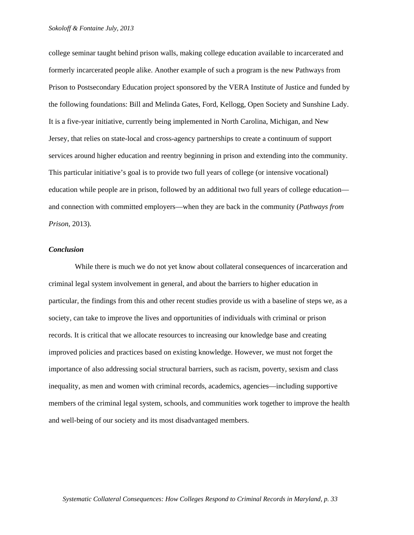college seminar taught behind prison walls, making college education available to incarcerated and formerly incarcerated people alike. Another example of such a program is the new Pathways from Prison to Postsecondary Education project sponsored by the VERA Institute of Justice and funded by the following foundations: Bill and Melinda Gates, Ford, Kellogg, Open Society and Sunshine Lady. It is a five-year initiative, currently being implemented in North Carolina, Michigan, and New Jersey, that relies on state-local and cross-agency partnerships to create a continuum of support services around higher education and reentry beginning in prison and extending into the community. This particular initiative's goal is to provide two full years of college (or intensive vocational) education while people are in prison, followed by an additional two full years of college education and connection with committed employers—when they are back in the community (*Pathways from Prison*, 2013).

#### *Conclusion*

 While there is much we do not yet know about collateral consequences of incarceration and criminal legal system involvement in general, and about the barriers to higher education in particular, the findings from this and other recent studies provide us with a baseline of steps we, as a society, can take to improve the lives and opportunities of individuals with criminal or prison records. It is critical that we allocate resources to increasing our knowledge base and creating improved policies and practices based on existing knowledge. However, we must not forget the importance of also addressing social structural barriers, such as racism, poverty, sexism and class inequality, as men and women with criminal records, academics, agencies—including supportive members of the criminal legal system, schools, and communities work together to improve the health and well-being of our society and its most disadvantaged members.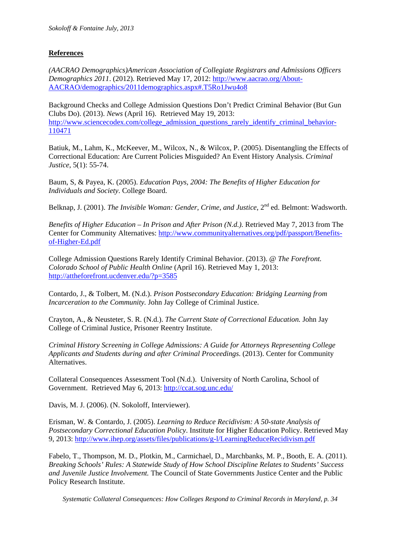# **References**

*(AACRAO Demographics)American Association of Collegiate Registrars and Admissions Officers Demographics 2011*. (2012). Retrieved May 17, 2012: http://www.aacrao.org/About-AACRAO/demographics/2011demographics.aspx#.T5Ro1Jwu4o8

Background Checks and College Admission Questions Don't Predict Criminal Behavior (But Gun Clubs Do). (2013). *News* (April 16). Retrieved May 19, 2013: http://www.sciencecodex.com/college\_admission\_questions\_rarely\_identify\_criminal\_behavior-110471

Batiuk, M., Lahm, K., McKeever, M., Wilcox, N., & Wilcox, P. (2005). Disentangling the Effects of Correctional Education: Are Current Policies Misguided? An Event History Analysis. *Criminal Justice*, 5(1): 55-74.

Baum, S, & Payea, K. (2005). *Education Pays, 2004: The Benefits of Higher Education for Individuals and Society*. College Board.

Belknap, J. (2001). *The Invisible Woman: Gender, Crime, and Justice*, 2<sup>nd</sup> ed. Belmont: Wadsworth.

*Benefits of Higher Education – In Prison and After Prison (N.d.).* Retrieved May 7, 2013 from The Center for Community Alternatives: http://www.communityalternatives.org/pdf/passport/Benefitsof-Higher-Ed.pdf

College Admission Questions Rarely Identify Criminal Behavior. (2013). *@ The Forefront. Colorado School of Public Health Online* (April 16). Retrieved May 1, 2013: http://attheforefront.ucdenver.edu/?p=3585

Contardo, J., & Tolbert, M. (N.d.). *Prison Postsecondary Education: Bridging Learning from Incarceration to the Community.* John Jay College of Criminal Justice.

Crayton, A., & Neusteter, S. R. (N.d.). *The Current State of Correctional Education.* John Jay College of Criminal Justice, Prisoner Reentry Institute.

*Criminal History Screening in College Admissions: A Guide for Attorneys Representing College Applicants and Students during and after Criminal Proceedings*. (2013). Center for Community Alternatives.

Collateral Consequences Assessment Tool (N.d.). University of North Carolina, School of Government. Retrieved May 6, 2013: http://ccat.sog.unc.edu/

Davis, M. J. (2006). (N. Sokoloff, Interviewer).

Erisman, W. & Contardo, J. (2005). *Learning to Reduce Recidivism: A 50-state Analysis of Postsecondary Correctional Education Policy*. Institute for Higher Education Policy. Retrieved May 9, 2013: http://www.ihep.org/assets/files/publications/g-l/LearningReduceRecidivism.pdf

Fabelo, T., Thompson, M. D., Plotkin, M., Carmichael, D., Marchbanks, M. P., Booth, E. A. (2011). *Breaking Schools' Rules: A Statewide Study of How School Discipline Relates to Students' Success and Juvenile Justice Involvement.* The Council of State Governments Justice Center and the Public Policy Research Institute.

 *Systematic Collateral Consequences: How Colleges Respond to Criminal Records in Maryland, p. 34*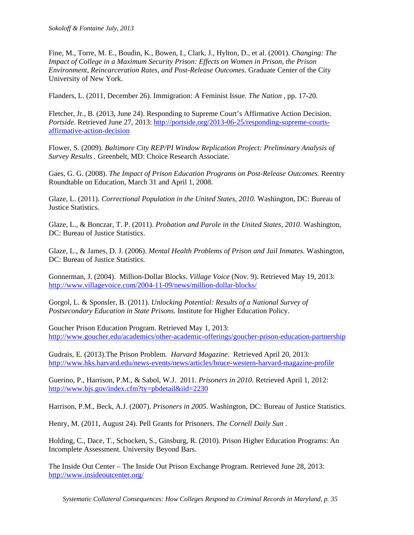Fine, M., Torre, M. E., Boudin, K., Bowen, I., Clark, J., Hylton, D., et al. (2001). *Changing: The Impact of College in a Maximum Security Prison: Effects on Women in Prison, the Prison Environment, Reincarceration Rates, and Post-Release Outcomes.* Graduate Center of the City University of New York.

Flanders, L. (2011, December 26). Immigration: A Feminist Issue. *The Nation* , pp. 17-20.

Fletcher, Jr., B. (2013, June 24). Responding to Supreme Court's Affirmative Action Decision. *Portside*. Retrieved June 27, 2013: http://portside.org/2013-06-25/responding-supreme-courtsaffirmative-action-decision

Flower, S. (2009). *Baltimore City REP/PI Window Replication Project: Preliminary Analysis of Survey Results .* Greenbelt, MD: Choice Research Associate.

Gaes, G. G. (2008). *The Impact of Prison Education Programs on Post-Release Outcomes.* Reentry Roundtable on Education, March 31 and April 1, 2008.

Glaze, L. (2011). *Correctional Population in the United States, 2010.* Washington, DC: Bureau of Justice Statistics.

Glaze, L., & Bonczar, T. P. (2011). *Probation and Parole in the United States, 2010.* Washington, DC: Bureau of Justice Statistics.

Glaze, L., & James, D. J. (2006). *Mental Health Problems of Prison and Jail Inmates*. Washington, DC: Bureau of Justice Statistics.

Gonnerman, J. (2004). Million-Dollar Blocks. *Village Voice* (Nov. 9). Retrieved May 19, 2013: http://www.villagevoice.com/2004-11-09/news/million-dollar-blocks/

Gorgol, L. & Sponsler, B. (2011). *Unlocking Potential: Results of a National Survey of Postsecondary Education in State Prisons.* Institute for Higher Education Policy.

Goucher Prison Education Program. Retrieved May 1, 2013: http://www.goucher.edu/academics/other-academic-offerings/goucher-prison-education-partnership

Gudrais, E. (2013).The Prison Problem. *Harvard Magazine*. Retrieved April 20, 2013: http://www.hks.harvard.edu/news-events/news/articles/bruce-western-harvard-magazine-profile

Guerino, P., Harrison, P.M., & Sabol, W.J. 2011. *Prisoners in 2010*. Retrieved April 1, 2012: http://www.bjs.gov/index.cfm?ty=pbdetail&iid=2230

Harrison, P.M., Beck, A.J. (2007). *Prisoners in 2005*. Washington, DC: Bureau of Justice Statistics.

Henry, M. (2011, August 24). Pell Grants for Prisoners. *The Cornell Daily Sun* .

Holding, C., Dace, T., Schocken, S., Ginsburg, R. (2010). Prison Higher Education Programs: An Incomplete Assessment. University Beyond Bars.

The Inside Out Center – The Inside Out Prison Exchange Program. Retrieved June 28, 2013: http://www.insideoutcenter.org/

 *Systematic Collateral Consequences: How Colleges Respond to Criminal Records in Maryland, p. 35*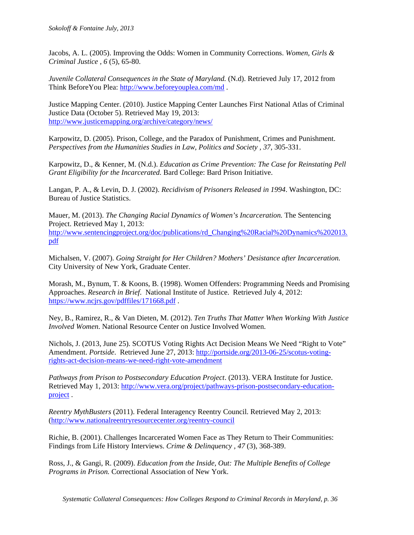Jacobs, A. L. (2005). Improving the Odds: Women in Community Corrections. *Women, Girls & Criminal Justice , 6* (5), 65-80.

*Juvenile Collateral Consequences in the State of Maryland.* (N.d). Retrieved July 17, 2012 from Think BeforeYou Plea: http://www.beforeyouplea.com/md .

Justice Mapping Center. (2010). Justice Mapping Center Launches First National Atlas of Criminal Justice Data (October 5). Retrieved May 19, 2013: http://www.justicemapping.org/archive/category/news/

Karpowitz, D. (2005). Prison, College, and the Paradox of Punishment, Crimes and Punishment. *Perspectives from the Humanities Studies in Law, Politics and Society , 37*, 305-331.

Karpowitz, D., & Kenner, M. (N.d.). *Education as Crime Prevention: The Case for Reinstating Pell Grant Eligibility for the Incarcerated.* Bard College: Bard Prison Initiative.

Langan, P. A., & Levin, D. J. (2002). *Recidivism of Prisoners Released in 1994*. Washington, DC: Bureau of Justice Statistics.

Mauer, M. (2013). *The Changing Racial Dynamics of Women's Incarceration.* The Sentencing Project. Retrieved May 1, 2013: http://www.sentencingproject.org/doc/publications/rd\_Changing%20Racial%20Dynamics%202013. pdf

Michalsen, V. (2007). *Going Straight for Her Children? Mothers' Desistance after Incarceration.* City University of New York, Graduate Center.

Morash, M., Bynum, T. & Koons, B. (1998). Women Offenders: Programming Needs and Promising Approaches. *Research in Brief*. National Institute of Justice. Retrieved July 4, 2012: https://www.ncjrs.gov/pdffiles/171668.pdf.

Ney, B., Ramirez, R., & Van Dieten, M. (2012). *Ten Truths That Matter When Working With Justice Involved Women*. National Resource Center on Justice Involved Women.

Nichols, J. (2013, June 25). SCOTUS Voting Rights Act Decision Means We Need "Right to Vote" Amendment. *Portside*. Retrieved June 27, 2013: http://portside.org/2013-06-25/scotus-votingrights-act-decision-means-we-need-right-vote-amendment

*Pathways from Prison to Postsecondary Education Project*. (2013). VERA Institute for Justice. Retrieved May 1, 2013: http://www.vera.org/project/pathways-prison-postsecondary-educationproject .

*Reentry MythBusters* (2011). Federal Interagency Reentry Council. Retrieved May 2, 2013: (http://www.nationalreentryresourcecenter.org/reentry-council

Richie, B. (2001). Challenges Incarcerated Women Face as They Return to Their Communities: Findings from Life History Interviews. *Crime & Delinquency , 47* (3), 368-389.

Ross, J., & Gangi, R. (2009). *Education from the Inside, Out: The Multiple Benefits of College Programs in Prison.* Correctional Association of New York.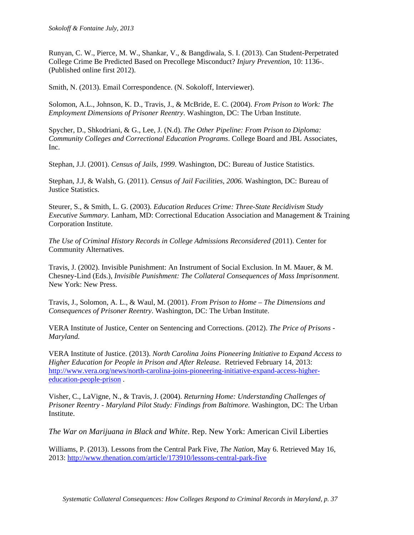Runyan, C. W., Pierce, M. W., Shankar, V., & Bangdiwala, S. I. (2013). Can Student-Perpetrated College Crime Be Predicted Based on Precollege Misconduct? *Injury Prevention*, 10: 1136-. (Published online first 2012).

Smith, N. (2013). Email Correspondence. (N. Sokoloff, Interviewer).

Solomon, A.L., Johnson, K. D., Travis, J., & McBride, E. C. (2004). *From Prison to Work: The Employment Dimensions of Prisoner Reentry*. Washington, DC: The Urban Institute.

Spycher, D., Shkodriani, & G., Lee, J. (N.d). *The Other Pipeline: From Prison to Diploma: Community Colleges and Correctional Education Programs*. College Board and JBL Associates, Inc.

Stephan, J.J. (2001). *Census of Jails, 1999*. Washington, DC: Bureau of Justice Statistics.

Stephan, J.J, & Walsh, G. (2011). *Census of Jail Facilities, 2006.* Washington, DC: Bureau of Justice Statistics.

Steurer, S., & Smith, L. G. (2003). *Education Reduces Crime: Three-State Recidivism Study Executive Summary.* Lanham, MD: Correctional Education Association and Management & Training Corporation Institute.

*The Use of Criminal History Records in College Admissions Reconsidered* (2011). Center for Community Alternatives.

Travis, J. (2002). Invisible Punishment: An Instrument of Social Exclusion. In M. Mauer, & M. Chesney-Lind (Eds.), *Invisible Punishment: The Collateral Consequences of Mass Imprisonment.* New York: New Press.

Travis, J., Solomon, A. L., & Waul, M. (2001). *From Prison to Home – The Dimensions and Consequences of Prisoner Reentry*. Washington, DC: The Urban Institute.

VERA Institute of Justice, Center on Sentencing and Corrections. (2012). *The Price of Prisons - Maryland.*

VERA Institute of Justice. (2013). *North Carolina Joins Pioneering Initiative to Expand Access to Higher Education for People in Prison and After Release*. Retrieved February 14, 2013: http://www.vera.org/news/north-carolina-joins-pioneering-initiative-expand-access-highereducation-people-prison .

Visher, C., LaVigne, N., & Travis, J. (2004). *Returning Home: Understanding Challenges of Prisoner Reentry - Maryland Pilot Study: Findings from Baltimore.* Washington, DC: The Urban Institute.

*The War on Marijuana in Black and White*. Rep. New York: American Civil Liberties

Williams, P. (2013). Lessons from the Central Park Five, *The Nation*, May 6. Retrieved May 16, 2013: http://www.thenation.com/article/173910/lessons-central-park-five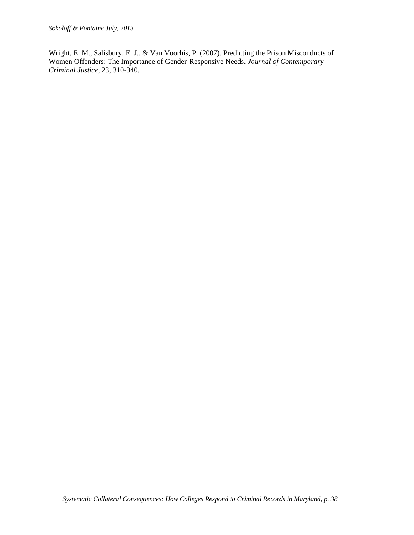Wright, E. M., Salisbury, E. J., & Van Voorhis, P. (2007). Predicting the Prison Misconducts of Women Offenders: The Importance of Gender-Responsive Needs. *Journal of Contemporary Criminal Justice*, 23, 310-340.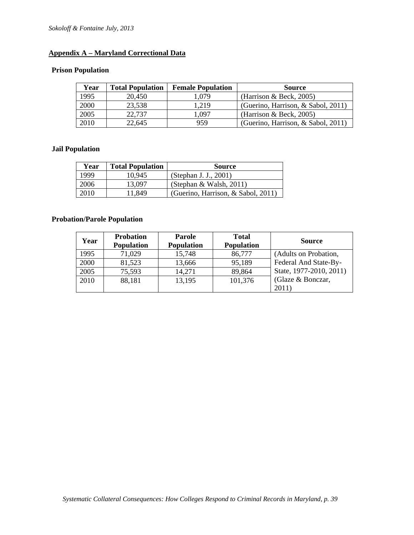# **Appendix A – Maryland Correctional Data**

# **Prison Population**

| Year | <b>Total Population</b> | <b>Female Population</b> | <b>Source</b>                      |
|------|-------------------------|--------------------------|------------------------------------|
| 1995 | 20,450                  | .079                     | (Harrison $\&$ Beck, 2005)         |
| 2000 | 23,538                  | 1,219                    | (Guerino, Harrison, & Sabol, 2011) |
| 2005 | 22,737                  | .097                     | (Harrison $\&$ Beck, 2005)         |
| 2010 | 22,645                  | 959                      | (Guerino, Harrison, & Sabol, 2011) |

# **Jail Population**

| Year | <b>Total Population</b> | <b>Source</b>                      |
|------|-------------------------|------------------------------------|
| 1999 | 10.945                  | (Stephan J. J., 2001)              |
| 2006 | 13.097                  | (Stephan & Walsh, 2011)            |
| 2010 | 11.849                  | (Guerino, Harrison, & Sabol, 2011) |

# **Probation/Parole Population**

| Year | <b>Probation</b><br><b>Population</b> | <b>Parole</b><br><b>Population</b> | <b>Total</b><br><b>Population</b> | <b>Source</b>               |
|------|---------------------------------------|------------------------------------|-----------------------------------|-----------------------------|
| 1995 | 71,029                                | 15,748                             | 86,777                            | (Adults on Probation,       |
| 2000 | 81,523                                | 13,666                             | 95,189                            | Federal And State-By-       |
| 2005 | 75,593                                | 14,271                             | 89,864                            | State, 1977-2010, 2011)     |
| 2010 | 88,181                                | 13,195                             | 101,376                           | (Glaze $& \text{Bonczar}$ ) |
|      |                                       |                                    |                                   | 2011)                       |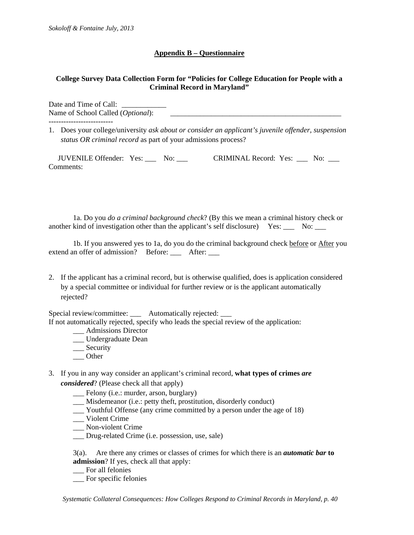# **Appendix B – Questionnaire**

# **College Survey Data Collection Form for "Policies for College Education for People with a Criminal Record in Maryland"**

Date and Time of Call: Name of School Called (*Optional*): \_\_\_\_\_\_\_\_\_\_\_\_\_\_\_\_\_\_\_\_\_\_\_\_\_\_\_\_\_\_\_\_\_\_\_\_\_\_\_\_\_\_\_\_\_\_

1. Does your college/university *ask about or consider an applicant's juvenile offender, suspension status OR criminal record* as part of your admissions process?

 JUVENILE Offender: Yes: \_\_\_ No: \_\_\_ CRIMINAL Record: Yes: \_\_\_ No: \_\_\_ Comments:

1a. Do you *do a criminal background check*? (By this we mean a criminal history check or another kind of investigation other than the applicant's self disclosure) Yes: \_\_\_ No: \_\_\_

1b. If you answered yes to 1a, do you do the criminal background check before or After you extend an offer of admission? Before: \_\_\_ After: \_\_\_

2. If the applicant has a criminal record, but is otherwise qualified, does is application considered by a special committee or individual for further review or is the applicant automatically rejected?

Special review/committee: \_\_\_ Automatically rejected: \_

If not automatically rejected, specify who leads the special review of the application:

- \_\_\_ Admissions Director
- \_\_\_ Undergraduate Dean
- \_\_\_ Security
- \_\_\_ Other
- 3. If you in any way consider an applicant's criminal record, **what types of crimes** *are considered*? (Please check all that apply)
	- \_\_\_ Felony (i.e.: murder, arson, burglary)
	- \_\_\_ Misdemeanor (i.e.: petty theft, prostitution, disorderly conduct)
	- \_\_\_ Youthful Offense (any crime committed by a person under the age of 18)
	- \_\_\_ Violent Crime
	- \_\_\_ Non-violent Crime
	- \_\_\_ Drug-related Crime (i.e. possession, use, sale)

3(a). Are there any crimes or classes of crimes for which there is an *automatic bar* **to admission**? If yes, check all that apply:

- \_\_\_ For all felonies
- \_\_\_ For specific felonies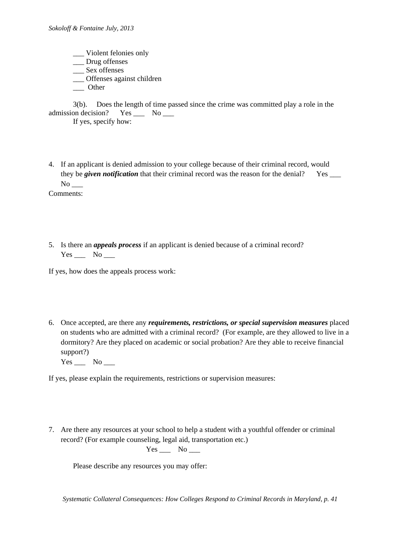- \_\_\_ Violent felonies only \_\_\_ Drug offenses
- \_\_\_ Sex offenses
- \_\_\_ Offenses against children
- \_\_\_ Other

|                            |  | 3(b). Does the length of time passed since the crime was committed play a role in the |  |  |
|----------------------------|--|---------------------------------------------------------------------------------------|--|--|
| admission decision? Yes No |  |                                                                                       |  |  |
| If yes, specify how:       |  |                                                                                       |  |  |

- 4. If an applicant is denied admission to your college because of their criminal record, would they be *given notification* that their criminal record was the reason for the denial? Yes \_\_\_\_  $No$ <sub>\_\_\_</sub> Comments:
- 5. Is there an *appeals process* if an applicant is denied because of a criminal record?

 $Yes$  No \_\_\_\_\_

If yes, how does the appeals process work:

- 6. Once accepted, are there any *requirements, restrictions, or special supervision measures* placed on students who are admitted with a criminal record? (For example, are they allowed to live in a dormitory? Are they placed on academic or social probation? Are they able to receive financial support?)
	- Yes No

If yes, please explain the requirements, restrictions or supervision measures:

7. Are there any resources at your school to help a student with a youthful offender or criminal record? (For example counseling, legal aid, transportation etc.)

 $Yes \_\_\_$  No  $\_\_\_$ 

Please describe any resources you may offer: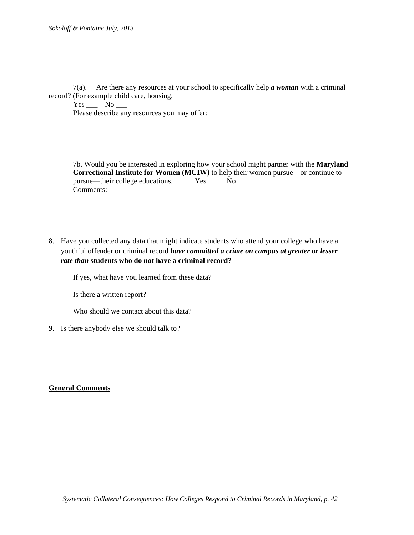7(a). Are there any resources at your school to specifically help *a woman* with a criminal record? (For example child care, housing,

 $Yes$  No  $\_\_$ Please describe any resources you may offer:

7b. Would you be interested in exploring how your school might partner with the **Maryland Correctional Institute for Women (MCIW)** to help their women pursue—or continue to pursue—their college educations. Yes \_\_\_ No \_\_\_ Comments:

8. Have you collected any data that might indicate students who attend your college who have a youthful offender or criminal record *have committed a crime on campus at greater or lesser rate than* **students who do not have a criminal record?** 

If yes, what have you learned from these data?

Is there a written report?

Who should we contact about this data?

9. Is there anybody else we should talk to?

# **General Comments**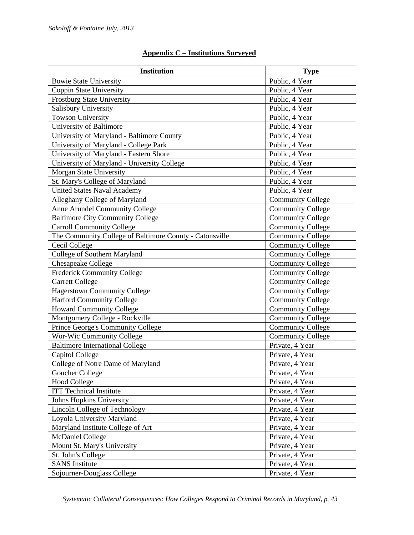| <b>Institution</b>                                      | <b>Type</b>              |
|---------------------------------------------------------|--------------------------|
| <b>Bowie State University</b>                           | Public, 4 Year           |
| Coppin State University                                 | Public, 4 Year           |
| <b>Frostburg State University</b>                       | Public, 4 Year           |
| Salisbury University                                    | Public, 4 Year           |
| <b>Towson University</b>                                | Public, 4 Year           |
| University of Baltimore                                 | Public, 4 Year           |
| University of Maryland - Baltimore County               | Public, 4 Year           |
| University of Maryland - College Park                   | Public, 4 Year           |
| University of Maryland - Eastern Shore                  | Public, 4 Year           |
| University of Maryland - University College             | Public, 4 Year           |
| Morgan State University                                 | Public, 4 Year           |
| St. Mary's College of Maryland                          | Public, 4 Year           |
| <b>United States Naval Academy</b>                      | Public, 4 Year           |
| Alleghany College of Maryland                           | <b>Community College</b> |
| Anne Arundel Community College                          | <b>Community College</b> |
| <b>Baltimore City Community College</b>                 | <b>Community College</b> |
| <b>Carroll Community College</b>                        | <b>Community College</b> |
| The Community College of Baltimore County - Catonsville | <b>Community College</b> |
| Cecil College                                           | <b>Community College</b> |
| College of Southern Maryland                            | <b>Community College</b> |
| Chesapeake College                                      | <b>Community College</b> |
| <b>Frederick Community College</b>                      | <b>Community College</b> |
| <b>Garrett College</b>                                  | <b>Community College</b> |
| <b>Hagerstown Community College</b>                     | <b>Community College</b> |
| <b>Harford Community College</b>                        | <b>Community College</b> |
| <b>Howard Community College</b>                         | <b>Community College</b> |
| Montgomery College - Rockville                          | <b>Community College</b> |
| Prince George's Community College                       | <b>Community College</b> |
| Wor-Wic Community College                               | <b>Community College</b> |
| <b>Baltimore International College</b>                  | Private, 4 Year          |
| Capitol College                                         | Private, 4 Year          |
| College of Notre Dame of Maryland                       | Private, 4 Year          |
| Goucher College                                         | Private, 4 Year          |
| <b>Hood College</b>                                     | Private, 4 Year          |
| <b>ITT Technical Institute</b>                          | Private, 4 Year          |
| Johns Hopkins University                                | Private, 4 Year          |
| Lincoln College of Technology                           | Private, 4 Year          |
| Loyola University Maryland                              | Private, 4 Year          |
| Maryland Institute College of Art                       | Private, 4 Year          |
| McDaniel College                                        | Private, 4 Year          |
| Mount St. Mary's University                             | Private, 4 Year          |
| St. John's College                                      | Private, 4 Year          |
| <b>SANS</b> Institute                                   | Private, 4 Year          |
| Sojourner-Douglass College                              | Private, 4 Year          |

# **Appendix C – Institutions Surveyed**